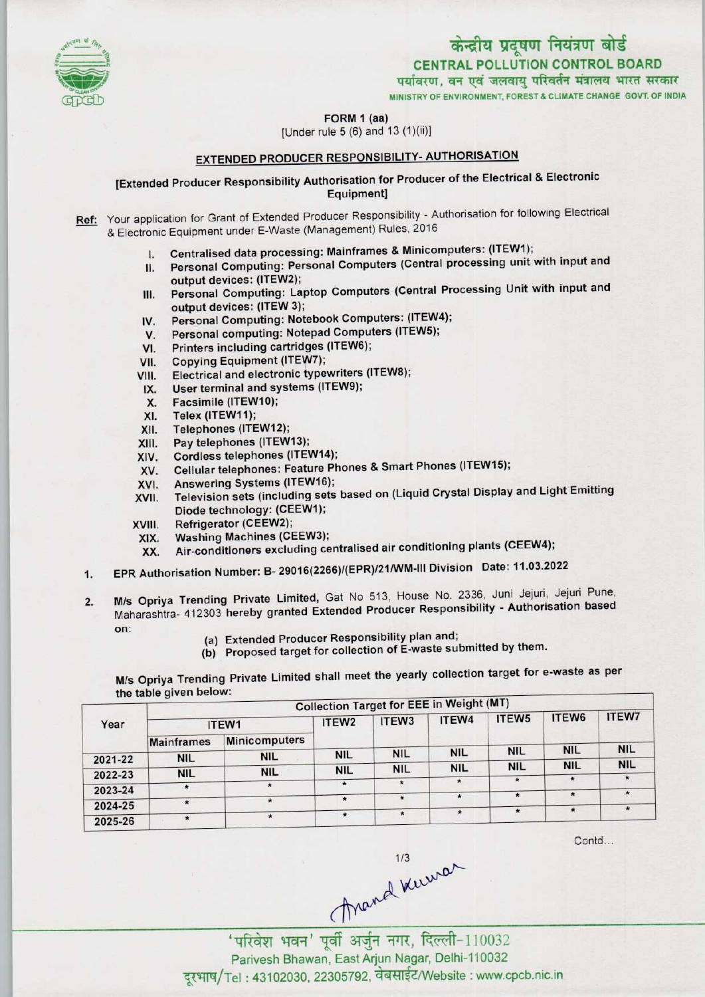

MINISTRY OF ENVIRONMENT, FOREST & CLIMATECHANGE GOVT. OF INDIA

FORM 1 (aa)

[Under rule 5 (6) and 13 (1)(ii)]

# EXTENDED PRODUCER RESPONSIBILITY- AUTHORISATION

## [Extended Producer Responsibility Authorisation for Producer of the Electrical & Electronic Equipment]

- Ref: Your application for Grant of Extended Producer Responsibility Authorisation for following Electrical & Electronic Equipment under E-Waste (Management) Rules, 2016
	-
	- I. Centralised data processing: Mainframes & Minicomputers: (ITEW1);<br>II. Personal Computing: Personal Computers (Central processing unit \ Personal Computing: Personal Computers (Central processing unit with input and output devices: (1TEW2);
	- III. Personal Computing: Laptop Computers (Central Processing Unit with input and output devices: (ITEW 3); III. Personal Computing: Laptop Computers (Central 1)<br>
	output devices: (ITEW 3);<br>
	IV. Personal Computing: Notebook Computers: (ITEW4);
	- output devices: (ITEW 3);<br>V. Personal Computing: Notebook Computers: (ITEW<br>V. Personal computing: Notepad Computers (ITEW5);
	- IV. Personal Computing: Notebook Computers: (ITEW-<br>V. Personal computing: Notepad Computers (ITEW5);<br>VI. Printers including cartridges (ITEW6);<br>VII. Copying Equipment (ITEW7);
	-
	-
	- VI. Printers including cartridges (ITEW6);<br>VII. Copying Equipment (ITEW7);<br>VIII. Electrical and electronic typewriters (I VI. Printers including cartridges (ITEW6);<br>VII. Copying Equipment (ITEW7);<br>VIII. Electrical and electronic typewriters (ITEW8); /II. Copying Equipment (ITEW7);<br>III. Electrical and electronic typewriters<br>IX. User terminal and systems (ITEW9);
	- II. Electrical and electrical<br>X. User terminal and s<br>X. Facsimile (ITEW10);<br>X. Telex (ITEW11);
	-
	- X. Ser terminal and<br>X. Facsimile (ITEW<br>XI. Telex (ITEW11);
	- X. Facsimile (ITEW10);<br>XI. Telex (ITEW11);<br>XII. Telephones (ITEW12);<br>XIII. Pay telephones (ITEW
	- XIII. Pay telephones (ITEW13);<br>XIV. Cordless telephones (ITE)
	- XIV. Cordless telephones (ITEW14);<br>XV. Cellular telephones: Feature Ph
	- XIII. Pay telephones (ITEW13);<br>XIV. Cordless telephones (ITEW14);<br>XV. Cellular telephones: Feature Phones & Smart Phones (ITEW15);
	- XIV. Cordiess telephones (ITEW14)<br>XVI. Answering Systems (ITEW16);<br>XVI. Answering Systems (ITEW16);
	- XVI. Answering Systems (ITEW16);<br>XVII. Television sets (including sets based on (Liquid Crystal Display and Light Emitting XVII. Television sets (including sets)<br>Diode technology: (CEEW1);<br>XVII. Refrigerator (CEEW2);<br>XIX. Mashing Machines (CEEW3)
	-
	- XVIII. Refrigerator (CEEW2);<br>XIX. Washing Machines (CEEW3);
		- XX. Air-conditioners excluding centralised air conditioning plants(CEEW4);
	- 1.EPR Authorisation Number: B- 29016(2266)/(EPR)/21/WM-lll Division Date: 11.03.2022
	- 2. EPR Authorisation Number: B- 29016(2266)/(EPR)/21/WM-III Division Date: 11.03.2022<br>2. M/s Opriya Trending Private Limited, Gat No 513, House No. 2336, Juni Jejuri, Jejuri Pune Maharashtra- 412303 hereby granted Extended Producer Responsibility - Authorisation based XIX. Washing Machines (CEEW3);<br>
	XX. Air-conditioners excluding centralised air conditionin<br>
	EPR Authorisation Number: B- 29016(2266)/(EPR)/21/WM-III Divisi<br>
	M/s Opriya Trending Private Limited, Gat No 513, House No.<br>
	Mahar
		-
		- (a) Extended Producer Responsibility plan and;<br>(b) Proposed target for collection of E-waste submitted by them.

M/s Opriya Trending Private Limited shall meet the yearly collection target for e-waste as per the table given below:

| ITEW1   |                                                               | ITEW <sub>2</sub>                   | ITEW <sub>3</sub>     | ITEW4                            | ITEW5      | ITEW6                                                      | ITEW7      |
|---------|---------------------------------------------------------------|-------------------------------------|-----------------------|----------------------------------|------------|------------------------------------------------------------|------------|
|         | <b>Minicomputers</b>                                          |                                     |                       |                                  |            |                                                            |            |
|         |                                                               | <b>NIL</b>                          | <b>NIL</b>            | <b>NIL</b>                       | <b>NIL</b> |                                                            | <b>NIL</b> |
|         |                                                               |                                     |                       | <b>NIL</b>                       | <b>NIL</b> | <b>NIL</b>                                                 | <b>NIL</b> |
|         |                                                               |                                     |                       | $\star$                          |            | $\pmb{\ast}$                                               |            |
|         |                                                               |                                     |                       |                                  |            | $\star$                                                    | *          |
| $\star$ |                                                               | $\star$                             |                       |                                  |            |                                                            |            |
|         |                                                               | $\star$                             |                       |                                  | $\star$    |                                                            |            |
|         | $\mathbf{u}$<br><b>Mainframes</b><br><b>NIL</b><br><b>NIL</b> | <b>NIL</b><br><b>NIL</b><br>$\star$ | <b>NIL</b><br>$\star$ | <b>NIL</b><br>$\star$<br>$\star$ | $\star$    | <b>Collection Target for EEE in Weight (MT)</b><br>$\star$ | <b>NIL</b> |

Contd...

(Mand Kuwa)<br>(1982) भवन' पूर्वी अर्जुन नगर, दिल्ली-110032 Parivesh Bhawan, EastArjun Nagar, Delhi-110032

दूरभाष/Tel: 43102030, 22305792, वेबसाईट/Website: www.cpcb.nic.in

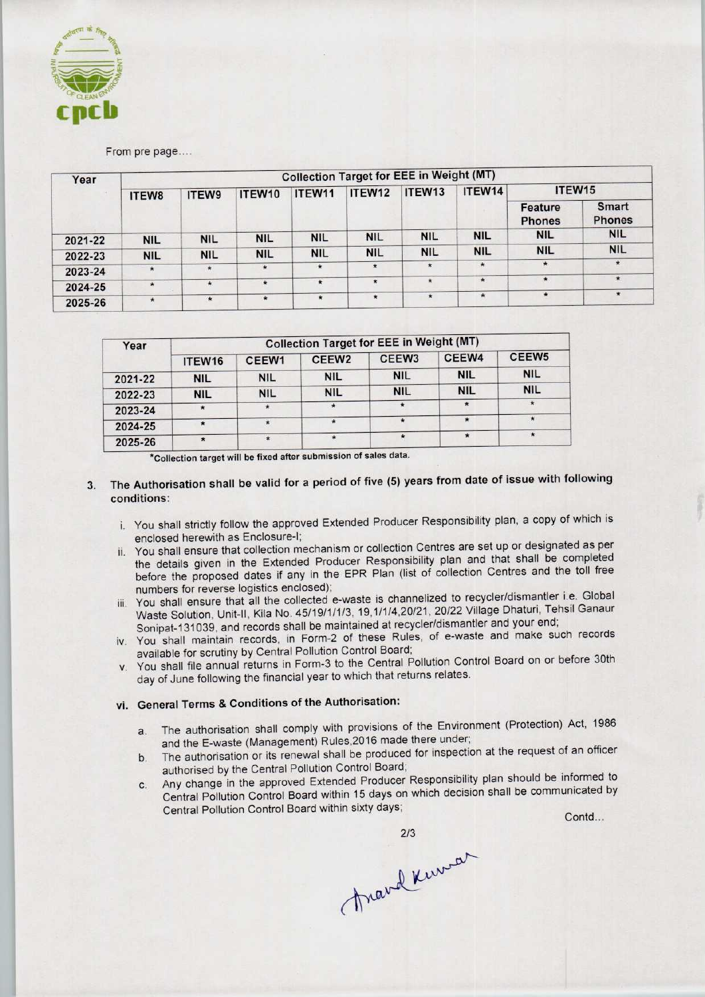

From pre page....

| Year    | <b>Collection Target for EEE in Weight (MT)</b> |            |            |            |            |            |            |                          |                               |  |
|---------|-------------------------------------------------|------------|------------|------------|------------|------------|------------|--------------------------|-------------------------------|--|
|         | ITEW8                                           | ITEW9      | ITEW10     | ITEW11     | ITEW12     | ITEW13     | ITEW14     | ITEW15                   |                               |  |
|         |                                                 |            |            |            |            |            |            | Feature<br><b>Phones</b> | <b>Smart</b><br><b>Phones</b> |  |
| 2021-22 | <b>NIL</b>                                      | <b>NIL</b> | <b>NIL</b> | <b>NIL</b> | <b>NIL</b> | <b>NIL</b> | <b>NIL</b> | <b>NIL</b>               | <b>NIL</b>                    |  |
| 2022-23 | <b>NIL</b>                                      | <b>NIL</b> | <b>NIL</b> | <b>NIL</b> | <b>NIL</b> | <b>NIL</b> | <b>NIL</b> | <b>NIL</b>               | <b>NIL</b>                    |  |
| 2023-24 | $\star$                                         | $\star$    | $\star$    | $\star$    | $\star$    | $\star$    | $\star$    | $\star$                  | $\star$                       |  |
| 2024-25 | $\star$                                         | $\star$    | $\star$    | $\star$    | $\star$    | $\star$    | $\star$    | $\pmb{\star}$            | *                             |  |
| 2025-26 | $\star$                                         | ÷          | $\star$    | $\star$    | $\star$    | $\star$    | $\star$    | $\star$                  | $\star$                       |  |

| Year    | <b>Collection Target for EEE in Weight (MT)</b> |            |                   |            |                           |                   |  |  |  |
|---------|-------------------------------------------------|------------|-------------------|------------|---------------------------|-------------------|--|--|--|
|         | ITEW16                                          | CEEW1      | CEEW <sub>2</sub> | CFEW3      | CEEW4                     | CEEW <sub>5</sub> |  |  |  |
| 2021-22 | <b>NIL</b>                                      | <b>NIL</b> | <b>NIL</b>        | <b>NIL</b> | <b>NIL</b>                | <b>NIL</b>        |  |  |  |
| 2022-23 | <b>NIL</b>                                      | <b>NIL</b> | <b>NIL</b>        | <b>NIL</b> | <b>NIL</b>                | <b>NIL</b>        |  |  |  |
| 2023-24 |                                                 | $\cdot$    |                   |            | $\boldsymbol{\mathrm{r}}$ | $\star$           |  |  |  |
| 2024-25 |                                                 |            |                   |            |                           | $\star$           |  |  |  |
| 2025-26 | $\bullet$                                       | $\star$    |                   |            |                           | $\star$           |  |  |  |

'Collection target will be ^ixed after submission of sales data.

- 3. The Authorisation shall be valid for a period of five (5) years from date of issue with following conditions:
	- i. You shall strictly follow the approved Extended Producer Responsibility plan, a copy of which is enclosed herewith as Enclosure-I;
	- ii. You shall ensure that collection mechanism or collection Centres are set up or designated as per the details given in the Extended Producer Responsibility plan and that shall be completed before the proposed dates if any in the EPR Plan (list of collection Centres and the toll free numbers for reverse logistics enclosed);
	- iii. You shall ensure that all the collected e-waste is channelized to recycler/dismantler i.e. Global Waste Solution, Unit-ll, Kiia No. 45/19/1/1/3, 19,1/1/4,20/21, 20/22 Village Dhaturi, Tehsil Ganaur Sonipat-131039, and records shall be maintained at recycler/dismantler and your end;
	- iv. You shall maintain records, in Form-2 of these Rules, of e-waste and make such records available for scrutiny by Central Pollution Control Board;
	- v. You shall file annual returns in Form-3 to the Central Pollution Control Board on or before 30th day of June following the financial year to which that returns relates.

# vi. General Terms & Conditions of the Authorisation:

- a. The authorisation shall comply with provisions of the Environment (Protection) Act, 1986 and the E-waste (Management) Rules,2016 made there under;
- authorised by the Central Pollution Control Board; b. The authorisation or its renewal shall be produced for inspection at the request or an ensembland authorised by the Central Pollution Control Board;<br>c. Any change in the approved Extended Producer Responsibility plan sh
- a. The authorisation shall comply with provisions of the Environment (Protection) Act, 1986<br>
and the E-waste (Management) Rules, 2016 made there under;<br>
b. The authorisation or its renewal shall be produced for inspection Central Pollution Control Board within 15 days on which decision shall be communicated by ers for reverse logistics enclosed);<br>
shall ensure that all the collected e-waste is channelized to recy<br>
Solution, Unit-II, Kila No. 45/19/1/1/3, 19,1/1/4,20/21, 20/22 Vilia<br>
Shall maintain records shall be maintained at

Anaval Kunar